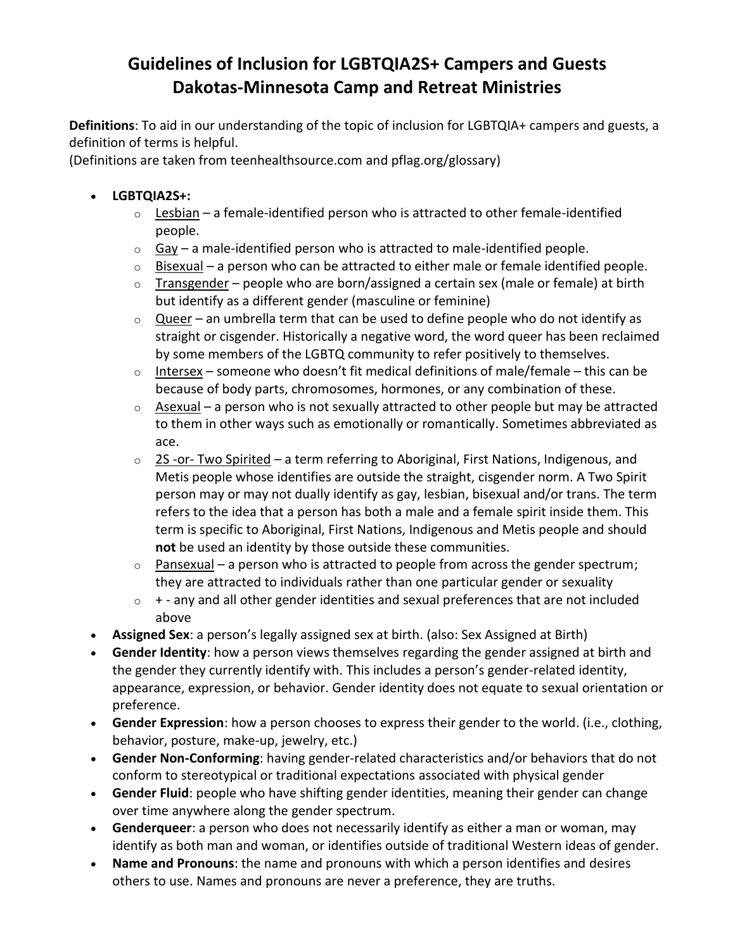## **Guidelines of Inclusion for LGBTQIA2S+ Campers and Guests Dakotas-Minnesota Camp and Retreat Ministries**

**Definitions**: To aid in our understanding of the topic of inclusion for LGBTQIA+ campers and guests, a definition of terms is helpful.

(Definitions are taken from teenhealthsource.com and pflag.org/glossary)

## • **LGBTQIA2S+:**

- $\circ$  Lesbian a female-identified person who is attracted to other female-identified people.
- $\circ$  Gay a male-identified person who is attracted to male-identified people.
- $\circ$  Bisexual a person who can be attracted to either male or female identified people.
- $\circ$  Transgender people who are born/assigned a certain sex (male or female) at birth but identify as a different gender (masculine or feminine)
- $\circ$  Queer an umbrella term that can be used to define people who do not identify as straight or cisgender. Historically a negative word, the word queer has been reclaimed by some members of the LGBTQ community to refer positively to themselves.
- $\circ$  Intersex someone who doesn't fit medical definitions of male/female this can be because of body parts, chromosomes, hormones, or any combination of these.
- $\circ$  Asexual a person who is not sexually attracted to other people but may be attracted to them in other ways such as emotionally or romantically. Sometimes abbreviated as ace.
- 2S -or- Two Spirited a term referring to Aboriginal, First Nations, Indigenous, and Metis people whose identifies are outside the straight, cisgender norm. A Two Spirit person may or may not dually identify as gay, lesbian, bisexual and/or trans. The term refers to the idea that a person has both a male and a female spirit inside them. This term is specific to Aboriginal, First Nations, Indigenous and Metis people and should **not** be used an identity by those outside these communities.
- $\circ$  Pansexual a person who is attracted to people from across the gender spectrum; they are attracted to individuals rather than one particular gender or sexuality
- $\circ$  + any and all other gender identities and sexual preferences that are not included above
- **Assigned Sex**: a person's legally assigned sex at birth. (also: Sex Assigned at Birth)
- **Gender Identity**: how a person views themselves regarding the gender assigned at birth and the gender they currently identify with. This includes a person's gender-related identity, appearance, expression, or behavior. Gender identity does not equate to sexual orientation or preference.
- **Gender Expression**: how a person chooses to express their gender to the world. (i.e., clothing, behavior, posture, make-up, jewelry, etc.)
- **Gender Non-Conforming**: having gender-related characteristics and/or behaviors that do not conform to stereotypical or traditional expectations associated with physical gender
- **Gender Fluid**: people who have shifting gender identities, meaning their gender can change over time anywhere along the gender spectrum.
- **Genderqueer**: a person who does not necessarily identify as either a man or woman, may identify as both man and woman, or identifies outside of traditional Western ideas of gender.
- **Name and Pronouns**: the name and pronouns with which a person identifies and desires others to use. Names and pronouns are never a preference, they are truths.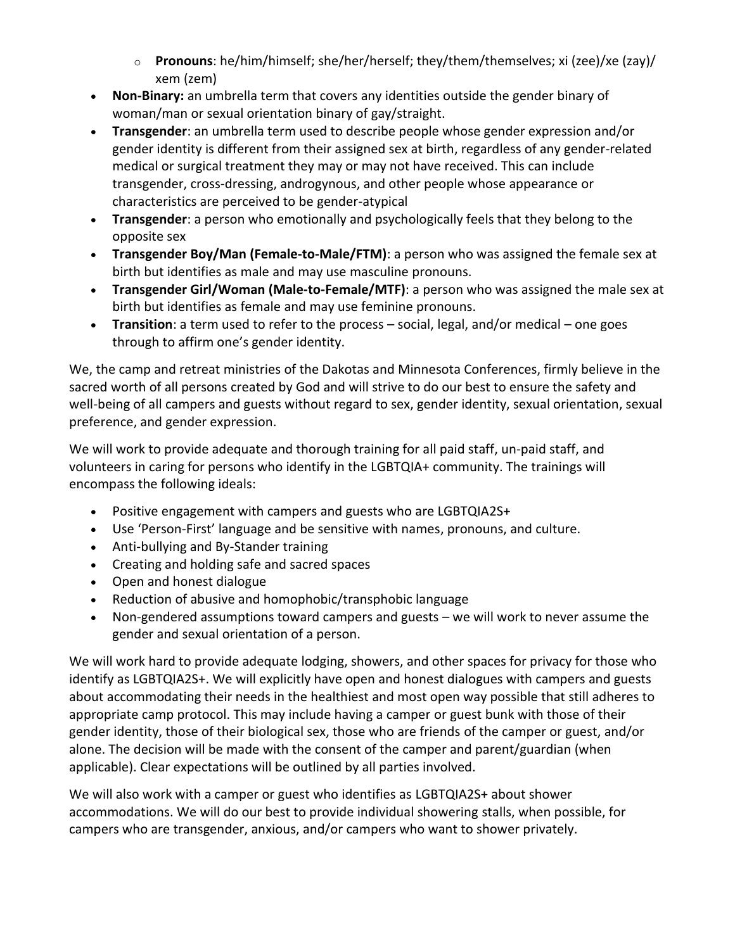- o **Pronouns**: he/him/himself; she/her/herself; they/them/themselves; xi (zee)/xe (zay)/ xem (zem)
- **Non-Binary:** an umbrella term that covers any identities outside the gender binary of woman/man or sexual orientation binary of gay/straight.
- **Transgender**: an umbrella term used to describe people whose gender expression and/or gender identity is different from their assigned sex at birth, regardless of any gender-related medical or surgical treatment they may or may not have received. This can include transgender, cross-dressing, androgynous, and other people whose appearance or characteristics are perceived to be gender-atypical
- **Transgender**: a person who emotionally and psychologically feels that they belong to the opposite sex
- **Transgender Boy/Man (Female-to-Male/FTM)**: a person who was assigned the female sex at birth but identifies as male and may use masculine pronouns.
- **Transgender Girl/Woman (Male-to-Female/MTF)**: a person who was assigned the male sex at birth but identifies as female and may use feminine pronouns.
- **Transition**: a term used to refer to the process social, legal, and/or medical one goes through to affirm one's gender identity.

We, the camp and retreat ministries of the Dakotas and Minnesota Conferences, firmly believe in the sacred worth of all persons created by God and will strive to do our best to ensure the safety and well-being of all campers and guests without regard to sex, gender identity, sexual orientation, sexual preference, and gender expression.

We will work to provide adequate and thorough training for all paid staff, un-paid staff, and volunteers in caring for persons who identify in the LGBTQIA+ community. The trainings will encompass the following ideals:

- Positive engagement with campers and guests who are LGBTQIA2S+
- Use 'Person-First' language and be sensitive with names, pronouns, and culture.
- Anti-bullying and By-Stander training
- Creating and holding safe and sacred spaces
- Open and honest dialogue
- Reduction of abusive and homophobic/transphobic language
- Non-gendered assumptions toward campers and guests we will work to never assume the gender and sexual orientation of a person.

We will work hard to provide adequate lodging, showers, and other spaces for privacy for those who identify as LGBTQIA2S+. We will explicitly have open and honest dialogues with campers and guests about accommodating their needs in the healthiest and most open way possible that still adheres to appropriate camp protocol. This may include having a camper or guest bunk with those of their gender identity, those of their biological sex, those who are friends of the camper or guest, and/or alone. The decision will be made with the consent of the camper and parent/guardian (when applicable). Clear expectations will be outlined by all parties involved.

We will also work with a camper or guest who identifies as LGBTQIA2S+ about shower accommodations. We will do our best to provide individual showering stalls, when possible, for campers who are transgender, anxious, and/or campers who want to shower privately.